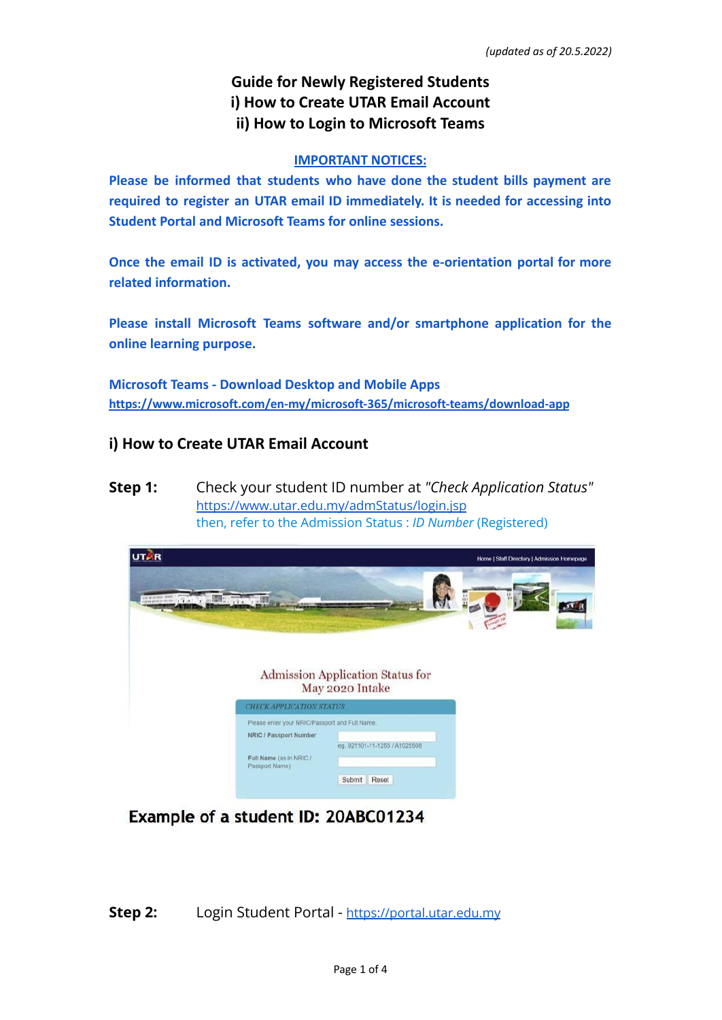### **Guide for Newly Registered Students i) How to Create UTAR Email Account ii) How to Login to Microsoft Teams**

#### **IMPORTANT NOTICES:**

**Please be informed that students who have done the student bills payment are required to register an UTAR email ID immediately. It is needed for accessing into Student Portal and Microsoft Teams for online sessions.**

**Once the email ID is activated, you may access the e-orientation portal for more related information.**

**Please install Microsoft Teams software and/or smartphone application for the online learning purpose.**

**Microsoft Teams - Download Desktop and Mobile Apps <https://www.microsoft.com/en-my/microsoft-365/microsoft-teams/download-app>**

### **i) How to Create UTAR Email Account**

**Step 1:** Check your student ID number at *"Check Application Status"* <https://www.utar.edu.my/admStatus/login.jsp> then, refer to the Admission Status : *ID Number* (Registered)



Example of a student ID: 20ABC01234

**Step 2:** Login Student Portal - <https://portal.utar.edu.my>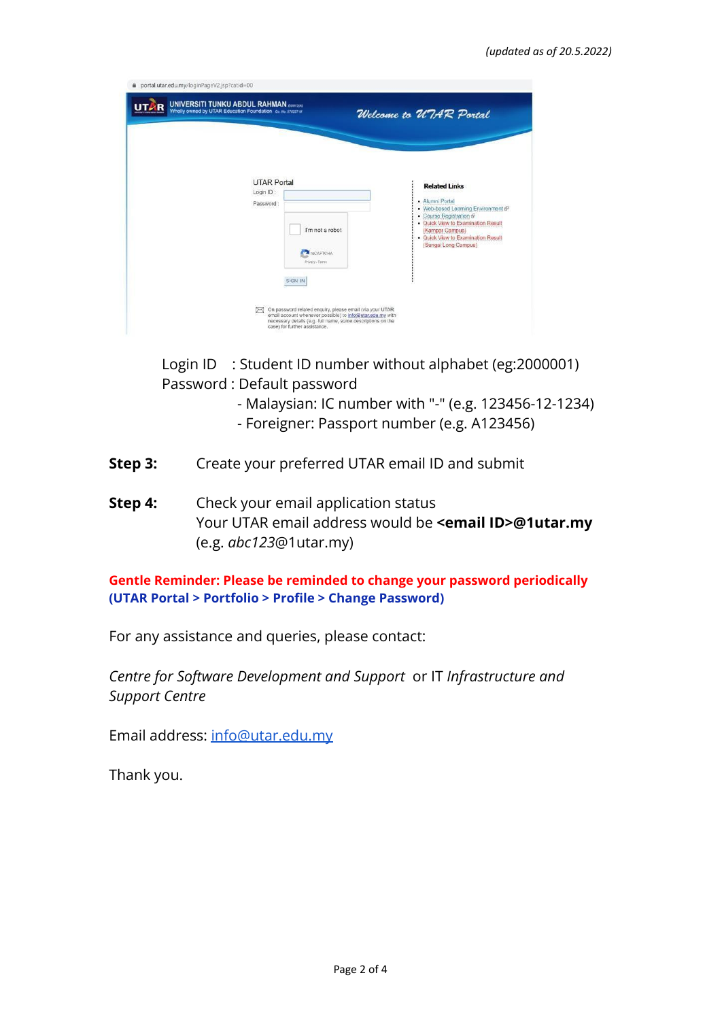| <b>UTAR Portal</b><br>Login ID:<br>Password:<br>I'm not a robot<br>reCAPTCHA<br>Privacy - Terms<br>SIGN IN | <b>Related Links</b><br>· Alumni Portal<br>. Web-based Learning Environment &<br>- Course Registration &<br>. Quick View to Examination Result<br>(Kampar Campus)<br>. Quick View to Examination Result<br>(Sungai Long Campus) |
|------------------------------------------------------------------------------------------------------------|---------------------------------------------------------------------------------------------------------------------------------------------------------------------------------------------------------------------------------|

Login ID : Student ID number without alphabet (eg:2000001) Password : Default password

- Malaysian: IC number with "-" (e.g. 123456-12-1234)
- Foreigner: Passport number (e.g. A123456)
- **Step 3:** Create your preferred UTAR email ID and submit
- **Step 4:** Check your email application status Your UTAR email address would be **<email ID>@1utar.my** (e.g. *abc123*@1utar.my)

**Gentle Reminder: Please be reminded to change your password periodically (UTAR Portal > Portfolio > Profile > Change Password)**

For any assistance and queries, please contact:

*Centre for Software Development and Support* or IT *Infrastructure and Support Centre*

Email address: [info@utar.edu.my](mailto:info@utar.edu.my)

Thank you.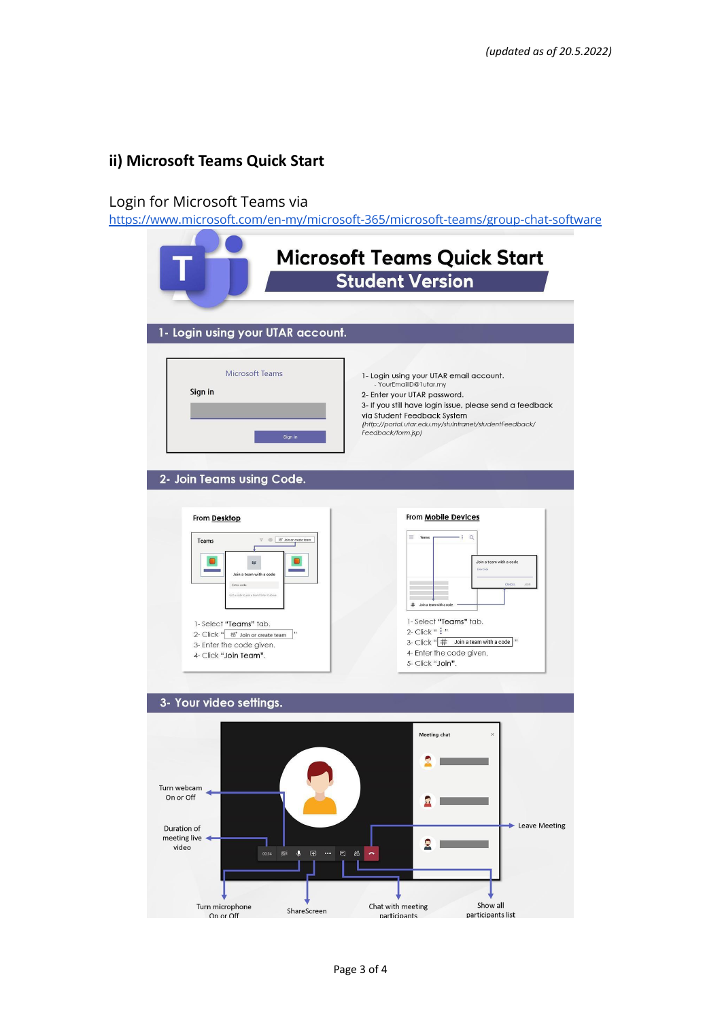# **ii) Microsoft Teams Quick Start**

# Login for Microsoft Teams via

<https://www.microsoft.com/en-my/microsoft-365/microsoft-teams/group-chat-software>

| 1- Login using your UTAR account.                                                  | <b>Microsoft Teams Quick Start</b><br><b>Student Version</b>                                                                                                                                                                                                                  |
|------------------------------------------------------------------------------------|-------------------------------------------------------------------------------------------------------------------------------------------------------------------------------------------------------------------------------------------------------------------------------|
| <b>Microsoft Teams</b><br>Sign in<br>Sign in<br>2- Join Teams using Code.          | 1- Login using your UTAR email account.<br>- YourEmailID@1utar.my<br>2- Enter your UTAR password.<br>3- If you still have login issue, please send a feedback<br>via Student Feedback System<br>(http://portal.utar.edu.my/stuintranet/studentFeedback/<br>Feedback/form.jsp) |
| <b>From Desktop</b>                                                                | From Mobile Devices                                                                                                                                                                                                                                                           |
|                                                                                    | $\equiv$ Teams<br>$-$ : $Q$                                                                                                                                                                                                                                                   |
| $\mathbb{T} \quad \textcircled{S} \quad \textit{bb}'$ Join or create team<br>Teams |                                                                                                                                                                                                                                                                               |
| W.                                                                                 | Join a team with a code<br><b>Finter Code</b>                                                                                                                                                                                                                                 |
| Join a team with a code<br>Enter code                                              | CANCEL                                                                                                                                                                                                                                                                        |
| Got a code to join a team? Enter it above                                          |                                                                                                                                                                                                                                                                               |
|                                                                                    | Join a team with a code<br>#                                                                                                                                                                                                                                                  |
| 1-Select "Teams" tab.<br>99                                                        | 1-Select "Teams" tab.<br>$2$ - Click " $\cdot$ "                                                                                                                                                                                                                              |
| 2- Click " & Join or create team<br>3- Enter the code given.                       | 3- Click " # Join a team with a code "                                                                                                                                                                                                                                        |
| 4- Click "Join Team".                                                              | 4- Enter the code given.<br>5- Click "Join".                                                                                                                                                                                                                                  |
|                                                                                    |                                                                                                                                                                                                                                                                               |
| 3- Your video settings.                                                            |                                                                                                                                                                                                                                                                               |
|                                                                                    | <b>Meeting chat</b><br>$\times$                                                                                                                                                                                                                                               |
|                                                                                    |                                                                                                                                                                                                                                                                               |
|                                                                                    |                                                                                                                                                                                                                                                                               |
| Turn webcam<br>On or Off                                                           |                                                                                                                                                                                                                                                                               |
|                                                                                    |                                                                                                                                                                                                                                                                               |
| <b>Duration of</b>                                                                 | <b>Leave Meeting</b>                                                                                                                                                                                                                                                          |
| meeting live<br>video                                                              |                                                                                                                                                                                                                                                                               |
| $\bullet$<br>00:14<br>必<br>同<br>$\cdots$                                           | 曰<br>දීරී                                                                                                                                                                                                                                                                     |
|                                                                                    |                                                                                                                                                                                                                                                                               |
|                                                                                    |                                                                                                                                                                                                                                                                               |
| Turn microphone<br>ShareScreen                                                     | Show all<br>Chat with meeting                                                                                                                                                                                                                                                 |
| On or Off                                                                          | participants list<br>participants                                                                                                                                                                                                                                             |